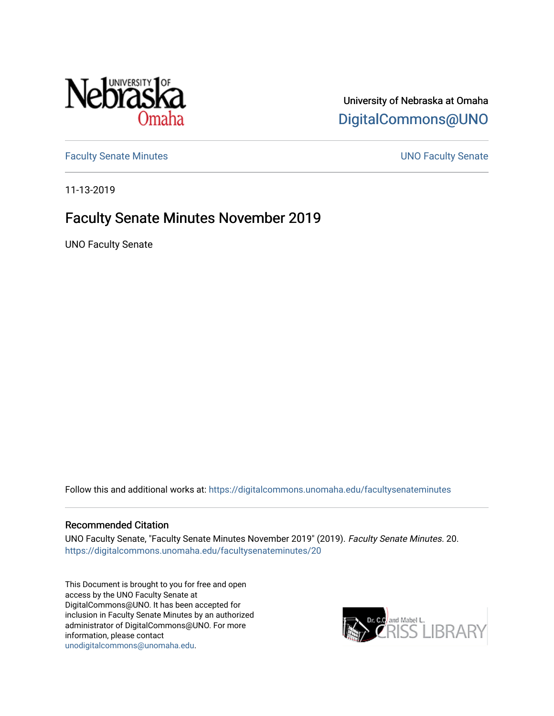

University of Nebraska at Omaha [DigitalCommons@UNO](https://digitalcommons.unomaha.edu/) 

[Faculty Senate Minutes](https://digitalcommons.unomaha.edu/facultysenateminutes) **Example 2018** UNO Faculty Senate

11-13-2019

### Faculty Senate Minutes November 2019

UNO Faculty Senate

Follow this and additional works at: [https://digitalcommons.unomaha.edu/facultysenateminutes](https://digitalcommons.unomaha.edu/facultysenateminutes?utm_source=digitalcommons.unomaha.edu%2Ffacultysenateminutes%2F20&utm_medium=PDF&utm_campaign=PDFCoverPages) 

#### Recommended Citation

UNO Faculty Senate, "Faculty Senate Minutes November 2019" (2019). Faculty Senate Minutes. 20. [https://digitalcommons.unomaha.edu/facultysenateminutes/20](https://digitalcommons.unomaha.edu/facultysenateminutes/20?utm_source=digitalcommons.unomaha.edu%2Ffacultysenateminutes%2F20&utm_medium=PDF&utm_campaign=PDFCoverPages) 

This Document is brought to you for free and open access by the UNO Faculty Senate at DigitalCommons@UNO. It has been accepted for inclusion in Faculty Senate Minutes by an authorized administrator of DigitalCommons@UNO. For more information, please contact [unodigitalcommons@unomaha.edu.](mailto:unodigitalcommons@unomaha.edu)

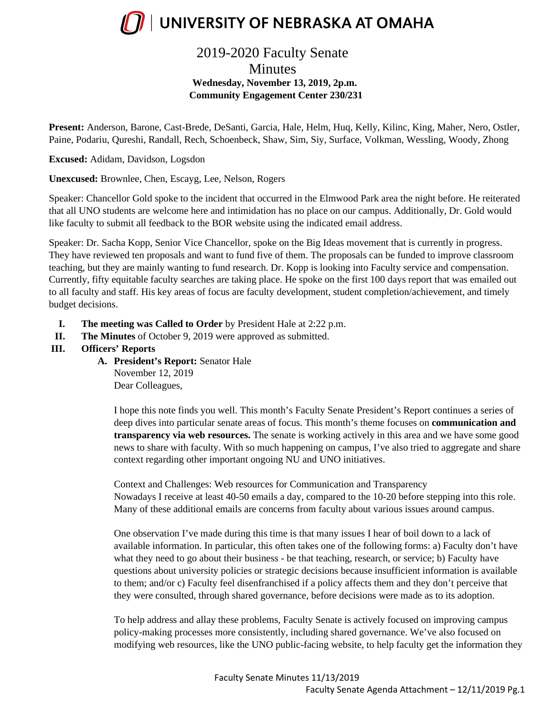

### 2019-2020 Faculty Senate

**Minutes Wednesday, November 13, 2019, 2p.m. Community Engagement Center 230/231**

**Present:** Anderson, Barone, Cast-Brede, DeSanti, Garcia, Hale, Helm, Huq, Kelly, Kilinc, King, Maher, Nero, Ostler, Paine, Podariu, Qureshi, Randall, Rech, Schoenbeck, Shaw, Sim, Siy, Surface, Volkman, Wessling, Woody, Zhong

**Excused:** Adidam, Davidson, Logsdon

**Unexcused:** Brownlee, Chen, Escayg, Lee, Nelson, Rogers

Speaker: Chancellor Gold spoke to the incident that occurred in the Elmwood Park area the night before. He reiterated that all UNO students are welcome here and intimidation has no place on our campus. Additionally, Dr. Gold would like faculty to submit all feedback to the BOR website using the indicated email address.

Speaker: Dr. Sacha Kopp, Senior Vice Chancellor, spoke on the Big Ideas movement that is currently in progress. They have reviewed ten proposals and want to fund five of them. The proposals can be funded to improve classroom teaching, but they are mainly wanting to fund research. Dr. Kopp is looking into Faculty service and compensation. Currently, fifty equitable faculty searches are taking place. He spoke on the first 100 days report that was emailed out to all faculty and staff. His key areas of focus are faculty development, student completion/achievement, and timely budget decisions.

- **I. The meeting was Called to Order** by President Hale at 2:22 p.m.
- **II. The Minutes** of October 9, 2019 were approved as submitted.
- **III. Officers' Reports**
	- **A. President's Report:** Senator Hale November 12, 2019

Dear Colleagues,

I hope this note finds you well. This month's Faculty Senate President's Report continues a series of deep dives into particular senate areas of focus. This month's theme focuses on **communication and transparency via web resources.** The senate is working actively in this area and we have some good news to share with faculty. With so much happening on campus, I've also tried to aggregate and share context regarding other important ongoing NU and UNO initiatives.

Context and Challenges: Web resources for Communication and Transparency Nowadays I receive at least 40-50 emails a day, compared to the 10-20 before stepping into this role. Many of these additional emails are concerns from faculty about various issues around campus.

One observation I've made during this time is that many issues I hear of boil down to a lack of available information. In particular, this often takes one of the following forms: a) Faculty don't have what they need to go about their business - be that teaching, research, or service; b) Faculty have questions about university policies or strategic decisions because insufficient information is available to them; and/or c) Faculty feel disenfranchised if a policy affects them and they don't perceive that they were consulted, through shared governance, before decisions were made as to its adoption.

To help address and allay these problems, Faculty Senate is actively focused on improving campus policy-making processes more consistently, including shared governance. We've also focused on modifying web resources, like the UNO public-facing website, to help faculty get the information they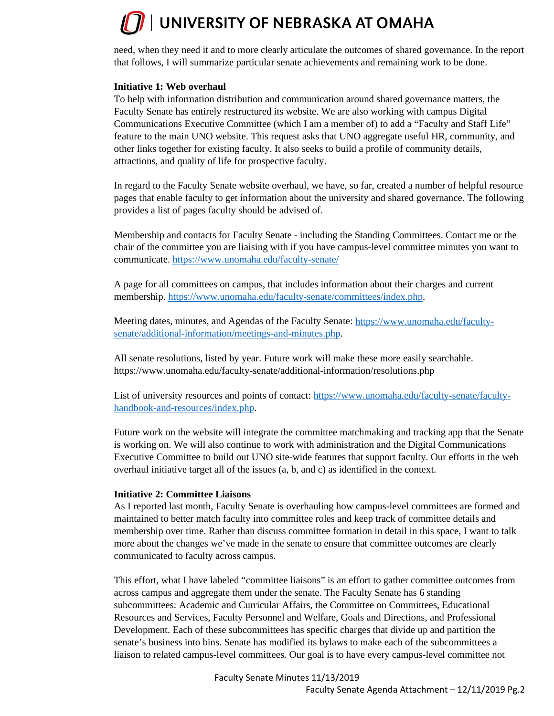need, when they need it and to more clearly articulate the outcomes of shared governance. In the report that follows, I will summarize particular senate achievements and remaining work to be done.

#### **Initiative 1: Web overhaul**

To help with information distribution and communication around shared governance matters, the Faculty Senate has entirely restructured its website. We are also working with campus Digital Communications Executive Committee (which I am a member of) to add a "Faculty and Staff Life" feature to the main UNO website. This request asks that UNO aggregate useful HR, community, and other links together for existing faculty. It also seeks to build a profile of community details, attractions, and quality of life for prospective faculty.

In regard to the Faculty Senate website overhaul, we have, so far, created a number of helpful resource pages that enable faculty to get information about the university and shared governance. The following provides a list of pages faculty should be advised of.

Membership and contacts for Faculty Senate - including the Standing Committees. Contact me or the chair of the committee you are liaising with if you have campus-level committee minutes you want to communicate.<https://www.unomaha.edu/faculty-senate/>

A page for all committees on campus, that includes information about their charges and current membership. [https://www.unomaha.edu/faculty-senate/committees/index.php.](https://www.unomaha.edu/faculty-senate/committees/index.php)

Meeting dates, minutes, and Agendas of the Faculty Senate: [https://www.unomaha.edu/faculty](https://www.unomaha.edu/faculty-senate/additional-information/meetings-and-minutes.php)[senate/additional-information/meetings-and-minutes.php.](https://www.unomaha.edu/faculty-senate/additional-information/meetings-and-minutes.php)

All senate resolutions, listed by year. Future work will make these more easily searchable. https://www.unomaha.edu/faculty-senate/additional-information/resolutions.php

List of university resources and points of contact: [https://www.unomaha.edu/faculty-senate/faculty](https://www.unomaha.edu/faculty-senate/faculty-handbook-and-resources/index.php)[handbook-and-resources/index.php.](https://www.unomaha.edu/faculty-senate/faculty-handbook-and-resources/index.php)

Future work on the website will integrate the committee matchmaking and tracking app that the Senate is working on. We will also continue to work with administration and the Digital Communications Executive Committee to build out UNO site-wide features that support faculty. Our efforts in the web overhaul initiative target all of the issues (a, b, and c) as identified in the context.

#### **Initiative 2: Committee Liaisons**

As I reported last month, Faculty Senate is overhauling how campus-level committees are formed and maintained to better match faculty into committee roles and keep track of committee details and membership over time. Rather than discuss committee formation in detail in this space, I want to talk more about the changes we've made in the senate to ensure that committee outcomes are clearly communicated to faculty across campus.

This effort, what I have labeled "committee liaisons" is an effort to gather committee outcomes from across campus and aggregate them under the senate. The Faculty Senate has 6 standing subcommittees: Academic and Curricular Affairs, the Committee on Committees, Educational Resources and Services, Faculty Personnel and Welfare, Goals and Directions, and Professional Development. Each of these subcommittees has specific charges that divide up and partition the senate's business into bins. Senate has modified its bylaws to make each of the subcommittees a liaison to related campus-level committees. Our goal is to have every campus-level committee not

> Faculty Senate Minutes 11/13/2019 Faculty Senate Agenda Attachment – 12/11/2019 Pg.2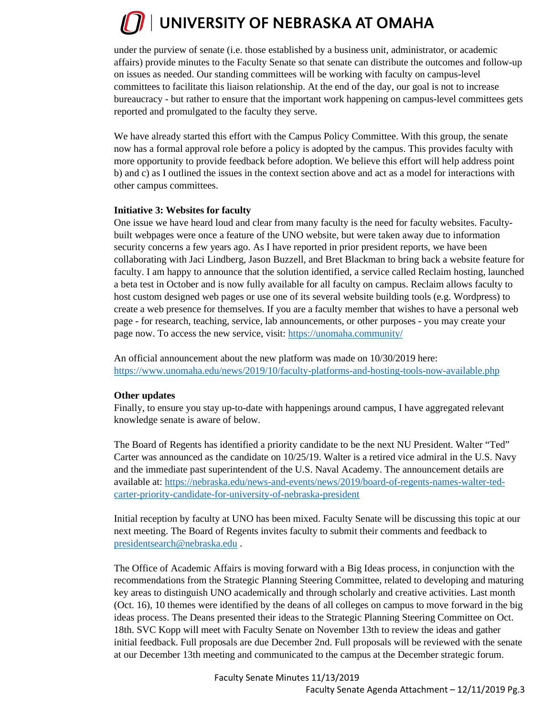under the purview of senate (i.e. those established by a business unit, administrator, or academic affairs) provide minutes to the Faculty Senate so that senate can distribute the outcomes and follow-up on issues as needed. Our standing committees will be working with faculty on campus-level committees to facilitate this liaison relationship. At the end of the day, our goal is not to increase bureaucracy - but rather to ensure that the important work happening on campus-level committees gets reported and promulgated to the faculty they serve.

We have already started this effort with the Campus Policy Committee. With this group, the senate now has a formal approval role before a policy is adopted by the campus. This provides faculty with more opportunity to provide feedback before adoption. We believe this effort will help address point b) and c) as I outlined the issues in the context section above and act as a model for interactions with other campus committees.

#### **Initiative 3: Websites for faculty**

One issue we have heard loud and clear from many faculty is the need for faculty websites. Facultybuilt webpages were once a feature of the UNO website, but were taken away due to information security concerns a few years ago. As I have reported in prior president reports, we have been collaborating with Jaci Lindberg, Jason Buzzell, and Bret Blackman to bring back a website feature for faculty. I am happy to announce that the solution identified, a service called Reclaim hosting, launched a beta test in October and is now fully available for all faculty on campus. Reclaim allows faculty to host custom designed web pages or use one of its several website building tools (e.g. Wordpress) to create a web presence for themselves. If you are a faculty member that wishes to have a personal web page - for research, teaching, service, lab announcements, or other purposes - you may create your page now. To access the new service, visit: <https://unomaha.community/>

An official announcement about the new platform was made on 10/30/2019 here: <https://www.unomaha.edu/news/2019/10/faculty-platforms-and-hosting-tools-now-available.php>

#### **Other updates**

Finally, to ensure you stay up-to-date with happenings around campus, I have aggregated relevant knowledge senate is aware of below.

The Board of Regents has identified a priority candidate to be the next NU President. Walter "Ted" Carter was announced as the candidate on 10/25/19. Walter is a retired vice admiral in the U.S. Navy and the immediate past superintendent of the U.S. Naval Academy. The announcement details are available at: [https://nebraska.edu/news-and-events/news/2019/board-of-regents-names-walter-ted](https://nebraska.edu/news-and-events/news/2019/board-of-regents-names-walter-ted-carter-priority-candidate-for-university-of-nebraska-president)[carter-priority-candidate-for-university-of-nebraska-president](https://nebraska.edu/news-and-events/news/2019/board-of-regents-names-walter-ted-carter-priority-candidate-for-university-of-nebraska-president)

Initial reception by faculty at UNO has been mixed. Faculty Senate will be discussing this topic at our next meeting. The Board of Regents invites faculty to submit their comments and feedback to [presidentsearch@nebraska.edu](mailto:presidentsearch@nebraska.edu) .

The Office of Academic Affairs is moving forward with a Big Ideas process, in conjunction with the recommendations from the Strategic Planning Steering Committee, related to developing and maturing key areas to distinguish UNO academically and through scholarly and creative activities. Last month (Oct. 16), 10 themes were identified by the deans of all colleges on campus to move forward in the big ideas process. The Deans presented their ideas to the Strategic Planning Steering Committee on Oct. 18th. SVC Kopp will meet with Faculty Senate on November 13th to review the ideas and gather initial feedback. Full proposals are due December 2nd. Full proposals will be reviewed with the senate at our December 13th meeting and communicated to the campus at the December strategic forum.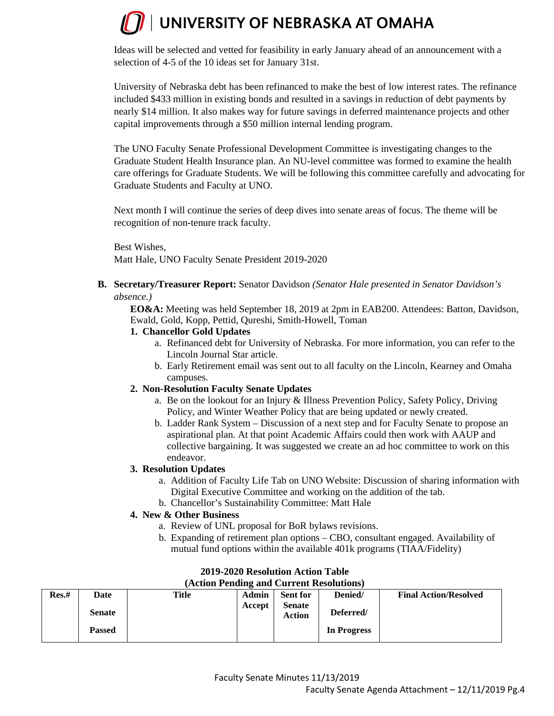Ideas will be selected and vetted for feasibility in early January ahead of an announcement with a selection of 4-5 of the 10 ideas set for January 31st.

University of Nebraska debt has been refinanced to make the best of low interest rates. The refinance included \$433 million in existing bonds and resulted in a savings in reduction of debt payments by nearly \$14 million. It also makes way for future savings in deferred maintenance projects and other capital improvements through a \$50 million internal lending program.

The UNO Faculty Senate Professional Development Committee is investigating changes to the Graduate Student Health Insurance plan. An NU-level committee was formed to examine the health care offerings for Graduate Students. We will be following this committee carefully and advocating for Graduate Students and Faculty at UNO.

Next month I will continue the series of deep dives into senate areas of focus. The theme will be recognition of non-tenure track faculty.

Best Wishes, Matt Hale, UNO Faculty Senate President 2019-2020

#### **B. Secretary/Treasurer Report:** Senator Davidson *(Senator Hale presented in Senator Davidson's absence.)*

**EO&A:** Meeting was held September 18, 2019 at 2pm in EAB200. Attendees: Batton, Davidson, Ewald, Gold, Kopp, Pettid, Qureshi, Smith-Howell, Toman

#### **1. Chancellor Gold Updates**

- a. Refinanced debt for University of Nebraska. For more information, you can refer to the Lincoln Journal Star article.
- b. Early Retirement email was sent out to all faculty on the Lincoln, Kearney and Omaha campuses.

#### **2. Non-Resolution Faculty Senate Updates**

- a. Be on the lookout for an Injury & Illness Prevention Policy, Safety Policy, Driving Policy, and Winter Weather Policy that are being updated or newly created.
- b. Ladder Rank System Discussion of a next step and for Faculty Senate to propose an aspirational plan. At that point Academic Affairs could then work with AAUP and collective bargaining. It was suggested we create an ad hoc committee to work on this endeavor.

#### **3. Resolution Updates**

- a. Addition of Faculty Life Tab on UNO Website: Discussion of sharing information with Digital Executive Committee and working on the addition of the tab.
- b. Chancellor's Sustainability Committee: Matt Hale

#### **4. New & Other Business**

- a. Review of UNL proposal for BoR bylaws revisions.
- b. Expanding of retirement plan options CBO, consultant engaged. Availability of mutual fund options within the available 401k programs (TIAA/Fidelity)

| $(A\cup B)$ is change and $C\cup D$ entry resolutions $B$ |               |       |        |                         |             |                              |  |  |  |  |  |
|-----------------------------------------------------------|---------------|-------|--------|-------------------------|-------------|------------------------------|--|--|--|--|--|
| Res.#                                                     | Date          | Title | Admin  | <b>Sent for</b>         | Denied/     | <b>Final Action/Resolved</b> |  |  |  |  |  |
|                                                           | <b>Senate</b> |       | Accept | <b>Senate</b><br>Action | Deferred/   |                              |  |  |  |  |  |
|                                                           | <b>Passed</b> |       |        |                         | In Progress |                              |  |  |  |  |  |

#### **2019-2020 Resolution Action Table (Action Pending and Current Resolutions)**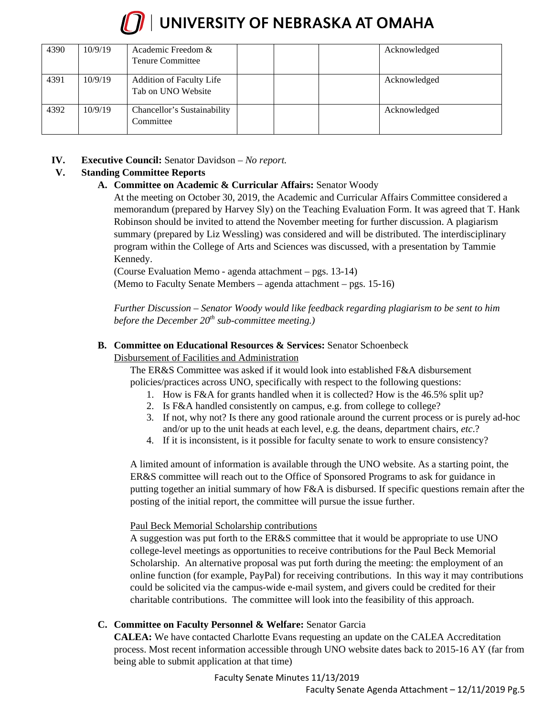

### $\sqrt{ }$  UNIVERSITY OF NEBRASKA AT OMAHA

| 4390 | 10/9/19 | Academic Freedom &<br><b>Tenure Committee</b>  |  | Acknowledged |
|------|---------|------------------------------------------------|--|--------------|
| 4391 | 10/9/19 | Addition of Faculty Life<br>Tab on UNO Website |  | Acknowledged |
| 4392 | 10/9/19 | Chancellor's Sustainability<br>Committee       |  | Acknowledged |

#### **IV. Executive Council:** Senator Davidson *– No report.*

#### **V. Standing Committee Reports**

#### **A. Committee on Academic & Curricular Affairs:** Senator Woody

At the meeting on October 30, 2019, the Academic and Curricular Affairs Committee considered a memorandum (prepared by Harvey Sly) on the Teaching Evaluation Form. It was agreed that T. Hank Robinson should be invited to attend the November meeting for further discussion. A plagiarism summary (prepared by Liz Wessling) was considered and will be distributed. The interdisciplinary program within the College of Arts and Sciences was discussed, with a presentation by Tammie Kennedy.

(Course Evaluation Memo - agenda attachment – pgs. 13-14)

(Memo to Faculty Senate Members – agenda attachment – pgs. 15-16)

*Further Discussion – Senator Woody would like feedback regarding plagiarism to be sent to him before the December 20th sub-committee meeting.)* 

#### **B. Committee on Educational Resources & Services:** Senator Schoenbeck

#### Disbursement of Facilities and Administration

The ER&S Committee was asked if it would look into established F&A disbursement policies/practices across UNO, specifically with respect to the following questions:

- 1. How is F&A for grants handled when it is collected? How is the 46.5% split up?
- 2. Is F&A handled consistently on campus, e.g. from college to college?
- 3. If not, why not? Is there any good rationale around the current process or is purely ad-hoc and/or up to the unit heads at each level, e.g. the deans, department chairs, *etc*.?
- 4. If it is inconsistent, is it possible for faculty senate to work to ensure consistency?

A limited amount of information is available through the UNO website. As a starting point, the ER&S committee will reach out to the Office of Sponsored Programs to ask for guidance in putting together an initial summary of how F&A is disbursed. If specific questions remain after the posting of the initial report, the committee will pursue the issue further.

#### Paul Beck Memorial Scholarship contributions

A suggestion was put forth to the ER&S committee that it would be appropriate to use UNO college-level meetings as opportunities to receive contributions for the Paul Beck Memorial Scholarship. An alternative proposal was put forth during the meeting: the employment of an online function (for example, PayPal) for receiving contributions. In this way it may contributions could be solicited via the campus-wide e-mail system, and givers could be credited for their charitable contributions. The committee will look into the feasibility of this approach.

#### **C. Committee on Faculty Personnel & Welfare:** Senator Garcia

**CALEA:** We have contacted Charlotte Evans requesting an update on the CALEA Accreditation process. Most recent information accessible through UNO website dates back to 2015-16 AY (far from being able to submit application at that time)

Faculty Senate Minutes 11/13/2019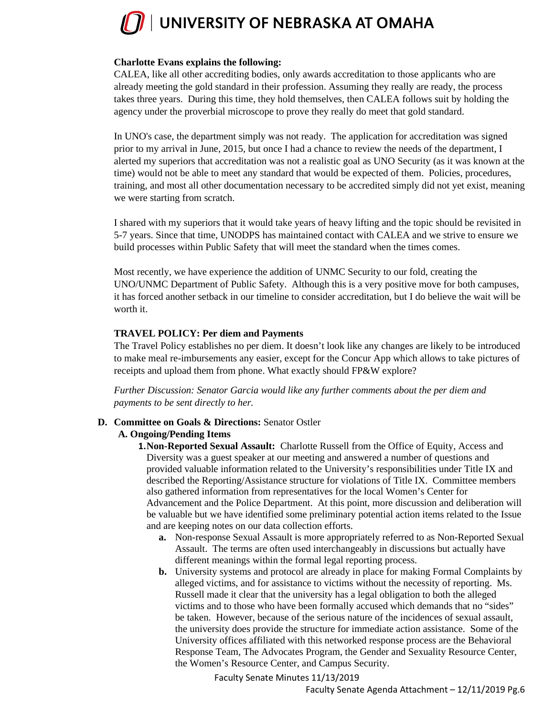

#### **Charlotte Evans explains the following:**

CALEA, like all other accrediting bodies, only awards accreditation to those applicants who are already meeting the gold standard in their profession. Assuming they really are ready, the process takes three years. During this time, they hold themselves, then CALEA follows suit by holding the agency under the proverbial microscope to prove they really do meet that gold standard.

In UNO's case, the department simply was not ready. The application for accreditation was signed prior to my arrival in June, 2015, but once I had a chance to review the needs of the department, I alerted my superiors that accreditation was not a realistic goal as UNO Security (as it was known at the time) would not be able to meet any standard that would be expected of them. Policies, procedures, training, and most all other documentation necessary to be accredited simply did not yet exist, meaning we were starting from scratch.

I shared with my superiors that it would take years of heavy lifting and the topic should be revisited in 5-7 years. Since that time, UNODPS has maintained contact with CALEA and we strive to ensure we build processes within Public Safety that will meet the standard when the times comes.

Most recently, we have experience the addition of UNMC Security to our fold, creating the UNO/UNMC Department of Public Safety. Although this is a very positive move for both campuses, it has forced another setback in our timeline to consider accreditation, but I do believe the wait will be worth it.

#### **TRAVEL POLICY: Per diem and Payments**

The Travel Policy establishes no per diem. It doesn't look like any changes are likely to be introduced to make meal re-imbursements any easier, except for the Concur App which allows to take pictures of receipts and upload them from phone. What exactly should FP&W explore?

*Further Discussion: Senator Garcia would like any further comments about the per diem and payments to be sent directly to her.*

#### **D. Committee on Goals & Directions:** Senator Ostler

#### **A. Ongoing/Pending Items**

**1.Non-Reported Sexual Assault:** Charlotte Russell from the Office of Equity, Access and Diversity was a guest speaker at our meeting and answered a number of questions and provided valuable information related to the University's responsibilities under Title IX and described the Reporting/Assistance structure for violations of Title IX. Committee members also gathered information from representatives for the local Women's Center for Advancement and the Police Department. At this point, more discussion and deliberation will be valuable but we have identified some preliminary potential action items related to the Issue and are keeping notes on our data collection efforts.

- **a.** Non-response Sexual Assault is more appropriately referred to as Non-Reported Sexual Assault. The terms are often used interchangeably in discussions but actually have different meanings within the formal legal reporting process.
- **b.** University systems and protocol are already in place for making Formal Complaints by alleged victims, and for assistance to victims without the necessity of reporting. Ms. Russell made it clear that the university has a legal obligation to both the alleged victims and to those who have been formally accused which demands that no "sides" be taken. However, because of the serious nature of the incidences of sexual assault, the university does provide the structure for immediate action assistance. Some of the University offices affiliated with this networked response process are the Behavioral Response Team, The Advocates Program, the Gender and Sexuality Resource Center, the Women's Resource Center, and Campus Security.

Faculty Senate Minutes 11/13/2019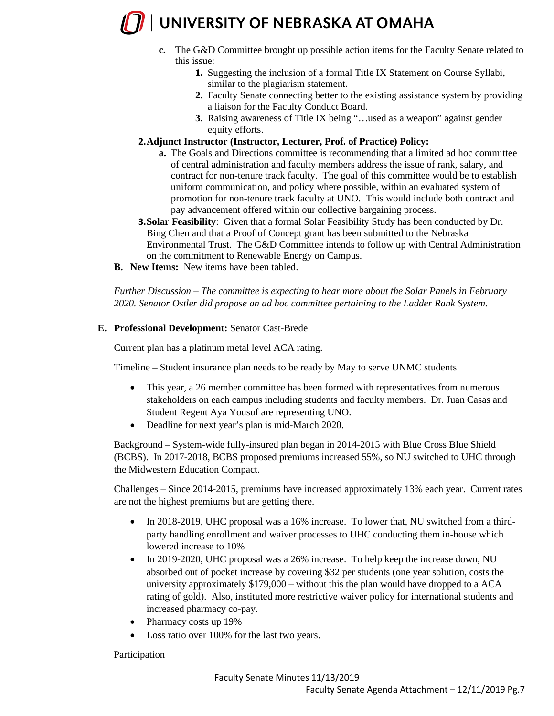- **c.** The G&D Committee brought up possible action items for the Faculty Senate related to this issue:
	- **1.** Suggesting the inclusion of a formal Title IX Statement on Course Syllabi, similar to the plagiarism statement.
	- **2.** Faculty Senate connecting better to the existing assistance system by providing a liaison for the Faculty Conduct Board.
	- **3.** Raising awareness of Title IX being "…used as a weapon" against gender equity efforts.
- **2.Adjunct Instructor (Instructor, Lecturer, Prof. of Practice) Policy:** 
	- **a.** The Goals and Directions committee is recommending that a limited ad hoc committee of central administration and faculty members address the issue of rank, salary, and contract for non-tenure track faculty. The goal of this committee would be to establish uniform communication, and policy where possible, within an evaluated system of promotion for non-tenure track faculty at UNO. This would include both contract and pay advancement offered within our collective bargaining process.
- **3.Solar Feasibility**: Given that a formal Solar Feasibility Study has been conducted by Dr. Bing Chen and that a Proof of Concept grant has been submitted to the Nebraska Environmental Trust. The G&D Committee intends to follow up with Central Administration on the commitment to Renewable Energy on Campus.
- **B. New Items:** New items have been tabled.

*Further Discussion – The committee is expecting to hear more about the Solar Panels in February 2020. Senator Ostler did propose an ad hoc committee pertaining to the Ladder Rank System.* 

#### **E. Professional Development:** Senator Cast-Brede

Current plan has a platinum metal level ACA rating.

Timeline – Student insurance plan needs to be ready by May to serve UNMC students

- This year, a 26 member committee has been formed with representatives from numerous stakeholders on each campus including students and faculty members. Dr. Juan Casas and Student Regent Aya Yousuf are representing UNO.
- Deadline for next year's plan is mid-March 2020.

Background – System-wide fully-insured plan began in 2014-2015 with Blue Cross Blue Shield (BCBS). In 2017-2018, BCBS proposed premiums increased 55%, so NU switched to UHC through the Midwestern Education Compact.

Challenges – Since 2014-2015, premiums have increased approximately 13% each year. Current rates are not the highest premiums but are getting there.

- In 2018-2019, UHC proposal was a 16% increase. To lower that, NU switched from a thirdparty handling enrollment and waiver processes to UHC conducting them in-house which lowered increase to 10%
- In 2019-2020, UHC proposal was a 26% increase. To help keep the increase down, NU absorbed out of pocket increase by covering \$32 per students (one year solution, costs the university approximately \$179,000 – without this the plan would have dropped to a ACA rating of gold). Also, instituted more restrictive waiver policy for international students and increased pharmacy co-pay.
- Pharmacy costs up 19%
- Loss ratio over 100% for the last two years.

#### Participation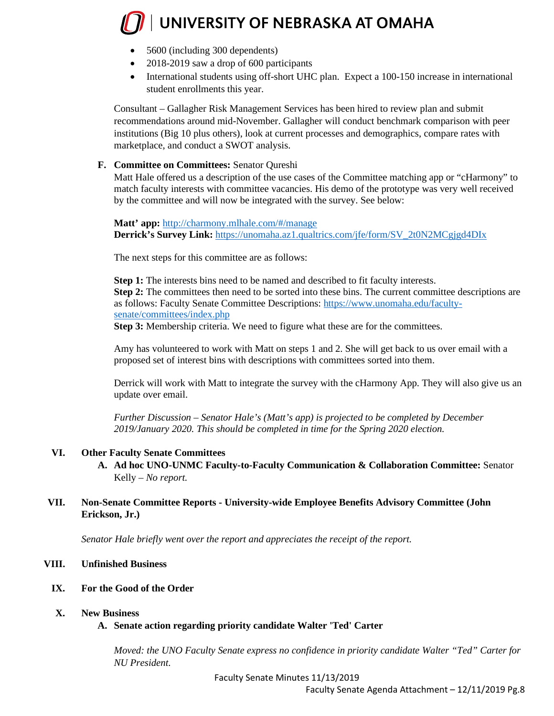- 5600 (including 300 dependents)
- 2018-2019 saw a drop of 600 participants
- International students using off-short UHC plan. Expect a 100-150 increase in international student enrollments this year.

Consultant – Gallagher Risk Management Services has been hired to review plan and submit recommendations around mid-November. Gallagher will conduct benchmark comparison with peer institutions (Big 10 plus others), look at current processes and demographics, compare rates with marketplace, and conduct a SWOT analysis.

#### **F. Committee on Committees:** Senator Qureshi

Matt Hale offered us a description of the use cases of the Committee matching app or "cHarmony" to match faculty interests with committee vacancies. His demo of the prototype was very well received by the committee and will now be integrated with the survey. See below:

**Matt' app:** <http://charmony.mlhale.com/#/manage> **Derrick's Survey Link:** [https://unomaha.az1.qualtrics.com/jfe/form/SV\\_2t0N2MCgjgd4DIx](https://unomaha.az1.qualtrics.com/jfe/form/SV_2t0N2MCgjgd4DIx)

The next steps for this committee are as follows:

**Step 1:** The interests bins need to be named and described to fit faculty interests. **Step 2:** The committees then need to be sorted into these bins. The current committee descriptions are as follows: Faculty Senate Committee Descriptions: [https://www.unomaha.edu/faculty](https://www.unomaha.edu/faculty-senate/committees/index.php)[senate/committees/index.php](https://www.unomaha.edu/faculty-senate/committees/index.php)

**Step 3:** Membership criteria. We need to figure what these are for the committees.

Amy has volunteered to work with Matt on steps 1 and 2. She will get back to us over email with a proposed set of interest bins with descriptions with committees sorted into them.

Derrick will work with Matt to integrate the survey with the cHarmony App. They will also give us an update over email.

*Further Discussion – Senator Hale's (Matt's app) is projected to be completed by December 2019/January 2020. This should be completed in time for the Spring 2020 election.* 

#### **VI. Other Faculty Senate Committees**

**A. Ad hoc UNO-UNMC Faculty-to-Faculty Communication & Collaboration Committee:** Senator Kelly – *No report.*

#### **VII. Non-Senate Committee Reports - University-wide Employee Benefits Advisory Committee (John Erickson, Jr.)**

*Senator Hale briefly went over the report and appreciates the receipt of the report.* 

#### **VIII. Unfinished Business**

**IX. For the Good of the Order** 

#### **X. New Business**

#### **A. Senate action regarding priority candidate Walter 'Ted' Carter**

*Moved: the UNO Faculty Senate express no confidence in priority candidate Walter "Ted" Carter for NU President.*

Faculty Senate Minutes 11/13/2019